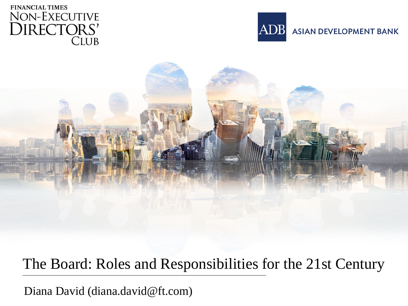





#### The Board: Roles and Responsibilities for the 21st Century

Diana David (diana.david@ft.com)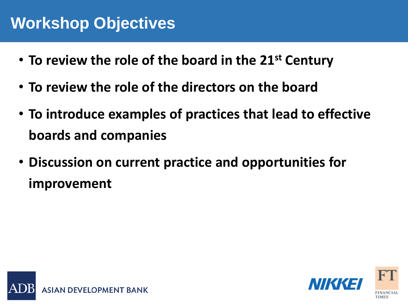### **Workshop Objectives**

- **Agenda To review the role of the board in the 21st Century**
- **To review the role of the directors on the board**
- **To introduce examples of practices that lead to effective boards and companies**
- **Discussion on current practice and opportunities for improvement**



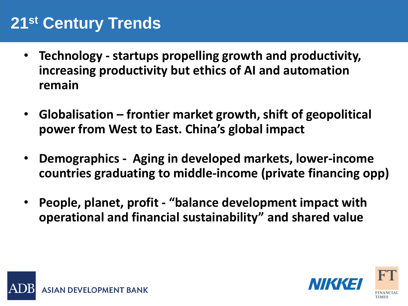### **21st Century Trends**

- **•** Technology startups propelling growth and productivity, **increasing productivity but ethics of AI and automation remain**
- **Globalisation – frontier market growth, shift of geopolitical power from West to East. China's global impact**
- **Demographics - Aging in developed markets, lower-income countries graduating to middle-income (private financing opp)**
- **People, planet, profit - "balance development impact with operational and financial sustainability" and shared value**



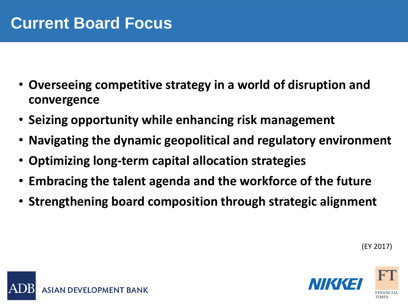- **Overseeing competitive strategy in a world of disruption and convergence**
- **Seizing opportunity while enhancing risk management**
- **Navigating the dynamic geopolitical and regulatory environment**
- **Optimizing long-term capital allocation strategies**
- **Embracing the talent agenda and the workforce of the future**
- **Strengthening board composition through strategic alignment**

(EY 2017)



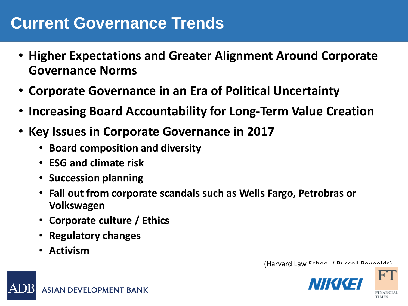### **Current Governance Trends**

- **Higher Expectations and Greater Alignment Around Corporate Governance Norms**
- **Corporate Governance in an Era of Political Uncertainty**
- **Increasing Board Accountability for Long-Term Value Creation**
- **Key Issues in Corporate Governance in 2017**
	- **Board composition and diversity**
	- **ESG and climate risk**
	- **Succession planning**
	- **Fall out from corporate scandals such as Wells Fargo, Petrobras or Volkswagen**
	- **Corporate culture / Ethics**
	- **Regulatory changes**
	- **Activism**

(Harvard Law School / Russell Reynolds)

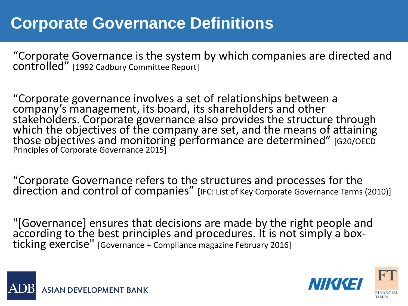### **Corporate Governance Definitions**

"Corporate Governance is the system by which companies are directed and controlled" [1992 Cadbury Committee Report]

"Corporate governance involves a set of relationships between a company's management, its board, its shareholders and other stakeholders. Corporate governance also provides the structure through which the objectives of the company are set, and the means of attaining those objectives and monitoring performance are determined" [G20/OECD Principles of Corporate Governance 2015]

"Corporate Governance refers to the structures and processes for the direction and control of companies" [IFC: List of Key Corporate Governance Terms (2010)]

"[Governance] ensures that decisions are made by the right people and according to the best principles and procedures. It is not simply a boxticking exercise" [Governance + Compliance magazine February 2016]



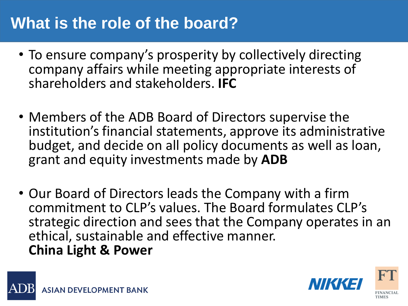### **What is the role of the board?**

- To ensure company's prosperity by collectively directing company affairs while meeting appropriate interests of shareholders and stakeholders. **IFC**
- Members of the ADB Board of Directors supervise the institution's financial statements, approve its administrative budget, and decide on all policy documents as well as loan, grant and equity investments made by **ADB**
- Our Board of Directors leads the Company with a firm commitment to CLP's values. The Board formulates CLP's strategic direction and sees that the Company operates in an ethical, sustainable and effective manner. **China Light & Power**



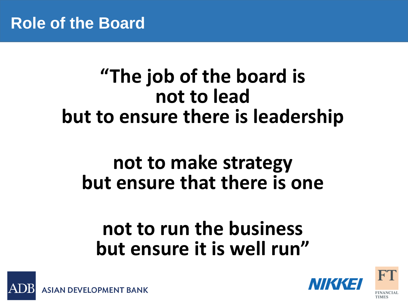## **"The job of the board is not to lead but to ensure there is leadership**

### **not to make strategy but ensure that there is one**

## **not to run the business but ensure it is well run"**



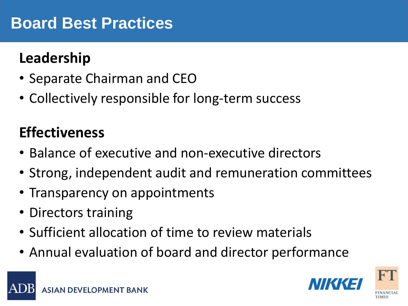### **Board Best Practices**

### Leadership

- Separate Chairman and CEO
- Collectively responsible for long-term success

### **Effectiveness**

- Balance of executive and non-executive directors
- Strong, independent audit and remuneration committees
- Transparency on appointments
- Directors training
- Sufficient allocation of time to review materials
- Annual evaluation of board and director performance

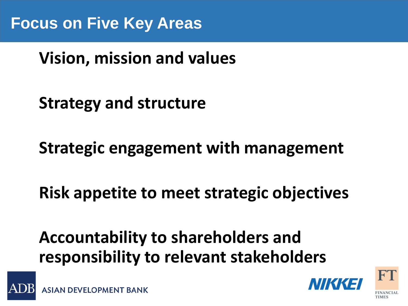### **Agenda Vision, mission and values**

**Strategy and structure**

**Strategic engagement with management**

**Risk appetite to meet strategic objectives**

**Accountability to shareholders and responsibility to relevant stakeholders**



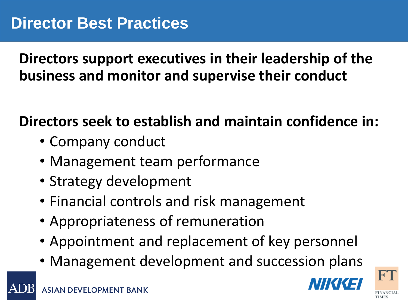Directors support executives in their leadership of the **business and monitor and supervise their conduct**

### **Directors seek to establish and maintain confidence in:**

- Company conduct
- Management team performance
- Strategy development
- Financial controls and risk management
- Appropriateness of remuneration
- Appointment and replacement of key personnel
- Management development and succession plans

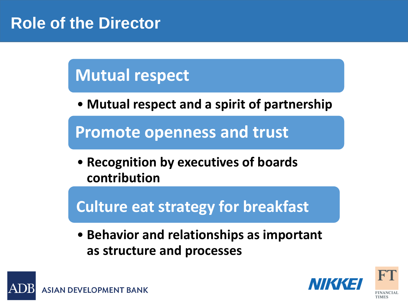### **Role of the Director**

**Agenda**

### **Mutual respect**

• **Mutual respect and a spirit of partnership**

**Promote openness and trust** 

• **Recognition by executives of boards contribution**

**Culture eat strategy for breakfast**

• **Behavior and relationships as important as structure and processes**



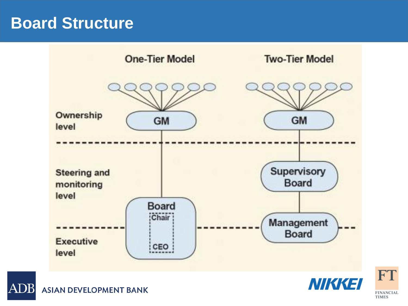### **Board Structure**





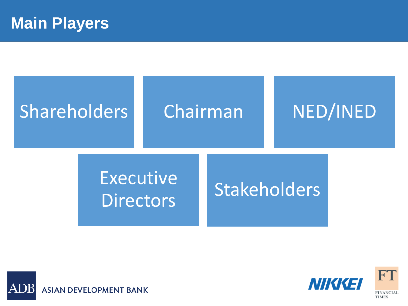# **Shareholders**

# Chairman NED/INED

## Executive **Directors**

## **Stakeholders**





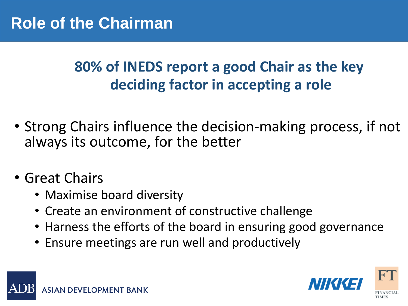#### **Agency 80% of INEDS report a good Chair as the key deciding factor in accepting a role**

- Strong Chairs influence the decision-making process, if not always its outcome, for the better
- Great Chairs
	- Maximise board diversity
	- Create an environment of constructive challenge
	- Harness the efforts of the board in ensuring good governance
	- Ensure meetings are run well and productively



ASIAN DEVELOPMENT BANK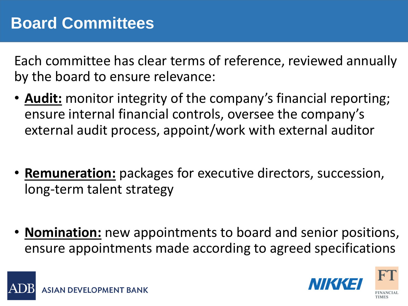Each committee has clear terms of reference, reviewed annually by the board to ensure relevance:

- **Audit:** monitor integrity of the company's financial reporting; ensure internal financial controls, oversee the company's external audit process, appoint/work with external auditor
- **Remuneration:** packages for executive directors, succession, long-term talent strategy
- **Nomination:** new appointments to board and senior positions, ensure appointments made according to agreed specifications

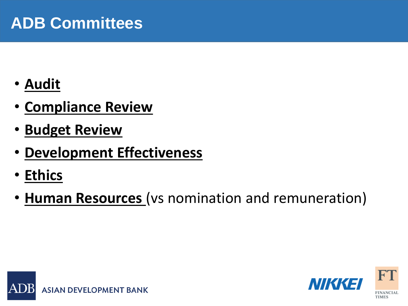### **ADB Committees**

- **Audit**
- **Compliance Review**
- **Budget Review**
- **Development Effectiveness**
- **Ethics**
- **Human Resources** (vs nomination and remuneration)



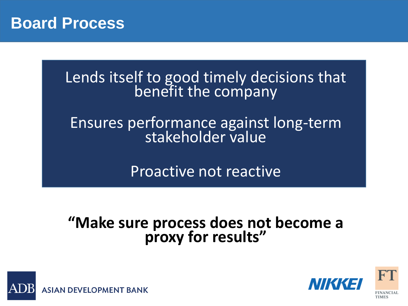

#### Lends itself to good timely decisions that benefit the company

#### Ensures performance against long-term stakeholder value

Proactive not reactive

#### **"Make sure process does not become a proxy for results"**



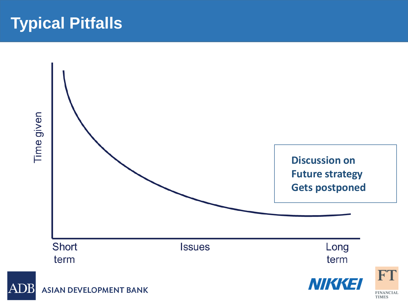### **Typical Pitfalls**

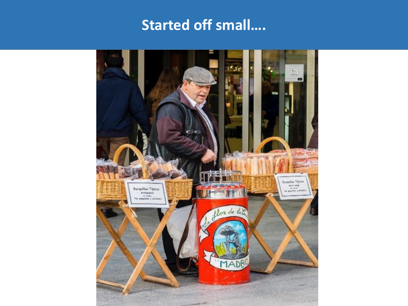### **Started off small....**

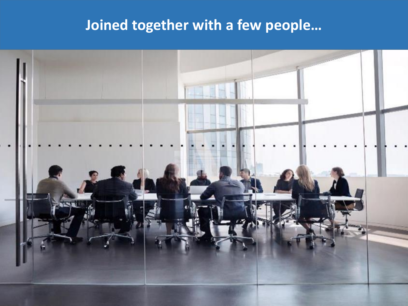### Joined Together With a Few People… **Joined together with a few people…**

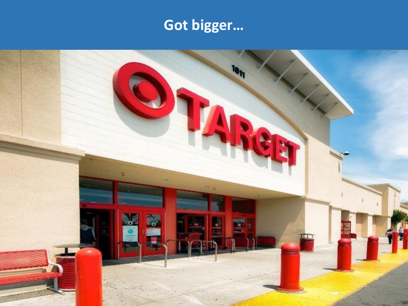# Got Bigger…. **Got bigger…**

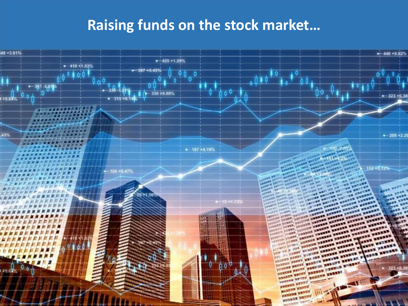### Raising funds on the stock market…. **Raising funds on the stock market…**

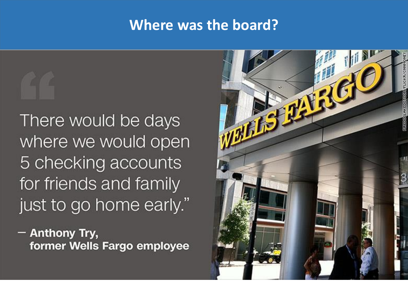#### **Where was the board?**

There would be days where we would open 5 checking accounts for friends and family

just to go home early."

- Anthony Try, former Wells Fargo employee

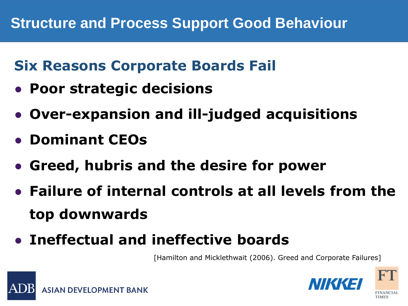#### **Agent Six Reasons Corporate Boards Fail**

- **Poor strategic decisions**
- **Over-expansion and ill-judged acquisitions**
- **Dominant CEOs**
- **Greed, hubris and the desire for power**
- **Failure of internal controls at all levels from the top downwards**
- **Ineffectual and ineffective boards**

[Hamilton and Micklethwait (2006). Greed and Corporate Failures]



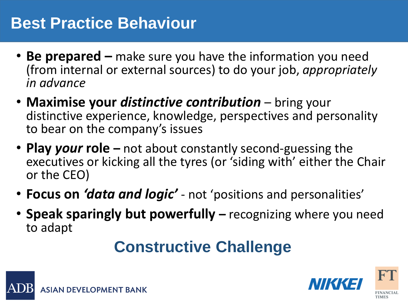### **Best Practice Behaviour**

- Be prepared make sure you have the information you need (from internal or external sources) to do your job, *appropriately in advance*
- **Maximise your** *distinctive contribution*  bring your distinctive experience, knowledge, perspectives and personality to bear on the company's issues
- **Play** *your* **role –** not about constantly second-guessing the executives or kicking all the tyres (or 'siding with' either the Chair or the CEO)
- **Focus on** *'data and logic'*  not 'positions and personalities'
- **Speak sparingly but powerfully –** recognizing where you need to adapt

### **Constructive Challenge**



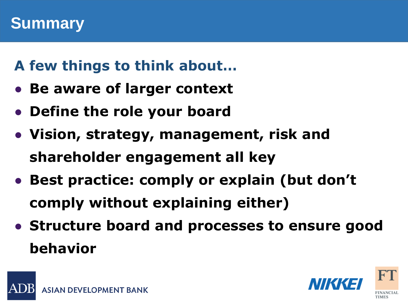#### **Agenda A few things to think about…**

- **Be aware of larger context**
- **Define the role your board**
- **Vision, strategy, management, risk and shareholder engagement all key**
- **Best practice: comply or explain (but don't comply without explaining either)**
- **Structure board and processes to ensure good behavior**